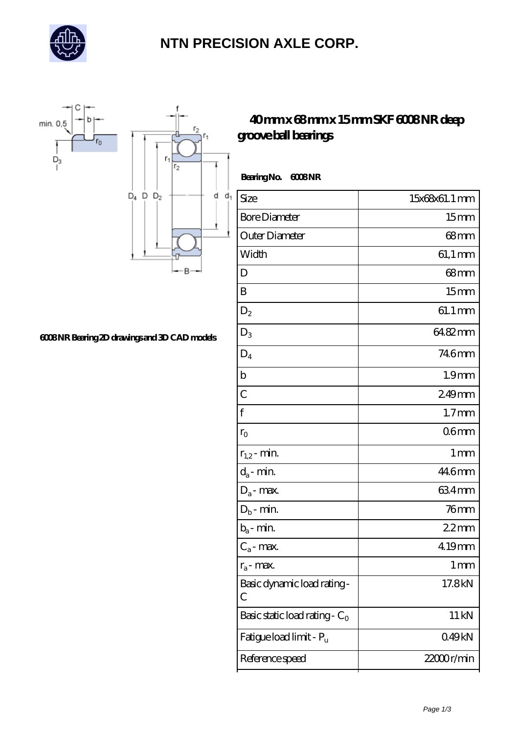

## **[NTN PRECISION AXLE CORP.](https://buyarcheagegold.net)**



#### **[6008 NR Bearing 2D drawings and 3D CAD models](https://buyarcheagegold.net/pic-433446.html)**

### **[40 mm x 68 mm x 15 mm SKF 6008 NR deep](https://buyarcheagegold.net/bz-433446-skf-6008-nr-deep-groove-ball-bearings.html) [groove ball bearings](https://buyarcheagegold.net/bz-433446-skf-6008-nr-deep-groove-ball-bearings.html)**

| Size                             | 15x68x61.1 mm     |
|----------------------------------|-------------------|
| <b>Bore Diameter</b>             | 15 <sub>mm</sub>  |
| Outer Diameter                   | $68 \text{mm}$    |
| Width                            | $61,1 \text{ mm}$ |
| D                                | 68mm              |
| B                                | 15 <sub>mm</sub>  |
| $D_2$                            | 61.1 mm           |
| $D_3$                            | 64.82mm           |
| $D_4$                            | 746mm             |
| b                                | 1.9 <sub>mm</sub> |
| $\overline{C}$                   | 249mm             |
| f                                | 1.7 <sub>mm</sub> |
| $r_{\rm O}$                      | 06mm              |
| $r_{1,2}$ - min.                 | 1 <sub>mm</sub>   |
| $d_a$ - min.                     | 44.6mm            |
| $D_a$ - max.                     | 634mm             |
| $D_b$ - min.                     | 76 <sub>mm</sub>  |
| $b_a$ - min.                     | 22mm              |
| $C_a$ - max.                     | 4.19mm            |
| $r_a$ - max.                     | $1 \,\mathrm{mm}$ |
| Basic dynamic load rating-<br>С  | 17.8kN            |
| Basic static load rating - $C_0$ | 11 kN             |
| Fatigue load limit - Pu          | 049kN             |

Reference speed 22000 r/min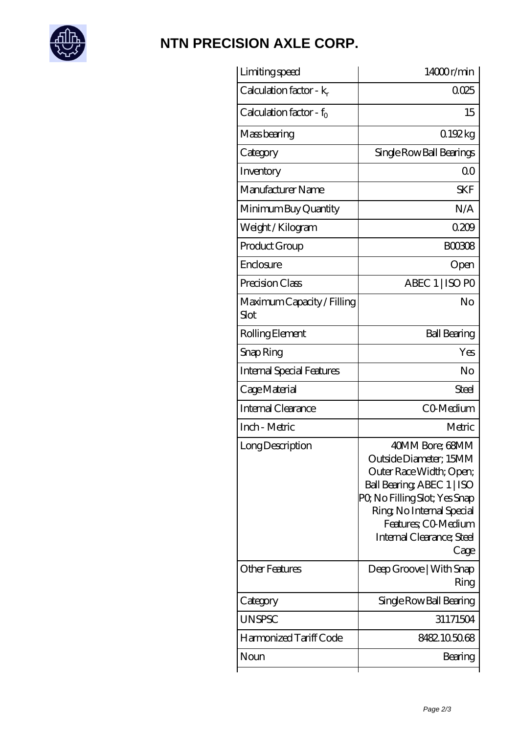

## **[NTN PRECISION AXLE CORP.](https://buyarcheagegold.net)**

| Limiting speed                     | 14000r/min                                                                                                                                                                                                                 |
|------------------------------------|----------------------------------------------------------------------------------------------------------------------------------------------------------------------------------------------------------------------------|
| Calculation factor - $k_r$         | 0025                                                                                                                                                                                                                       |
| Calculation factor - $f_0$         | 15                                                                                                                                                                                                                         |
| Mass bearing                       | 0.192kg                                                                                                                                                                                                                    |
| Category                           | Single Row Ball Bearings                                                                                                                                                                                                   |
| Inventory                          | 0 <sup>0</sup>                                                                                                                                                                                                             |
| Manufacturer Name                  | <b>SKF</b>                                                                                                                                                                                                                 |
| Minimum Buy Quantity               | N/A                                                                                                                                                                                                                        |
| Weight / Kilogram                  | 0209                                                                                                                                                                                                                       |
| Product Group                      | <b>BOO3O8</b>                                                                                                                                                                                                              |
| Enclosure                          | Open                                                                                                                                                                                                                       |
| Precision Class                    | ABEC 1   ISO PO                                                                                                                                                                                                            |
| Maximum Capacity / Filling<br>Slot | No                                                                                                                                                                                                                         |
| Rolling Element                    | <b>Ball Bearing</b>                                                                                                                                                                                                        |
| Snap Ring                          | Yes                                                                                                                                                                                                                        |
| <b>Internal Special Features</b>   | No                                                                                                                                                                                                                         |
| Cage Material                      | <b>Steel</b>                                                                                                                                                                                                               |
| Internal Clearance                 | CO-Medium                                                                                                                                                                                                                  |
| Inch - Metric                      | Metric                                                                                                                                                                                                                     |
| Long Description                   | 40MM Bore; 68MM<br>Outside Diameter; 15MM<br>Outer Race Width; Open;<br>Ball Bearing ABEC 1   ISO<br>PQ No Filling Slot; Yes Snap<br>Ring, No Internal Special<br>Features; CO-Medium<br>Internal Clearance; Steel<br>Cage |
| <b>Other Features</b>              | Deep Groove   With Snap<br>Ring                                                                                                                                                                                            |
| Category                           | Single Row Ball Bearing                                                                                                                                                                                                    |
| <b>UNSPSC</b>                      | 31171504                                                                                                                                                                                                                   |
| Harmonized Tariff Code             | 8482105068                                                                                                                                                                                                                 |
| Noun                               | Bearing                                                                                                                                                                                                                    |
|                                    |                                                                                                                                                                                                                            |